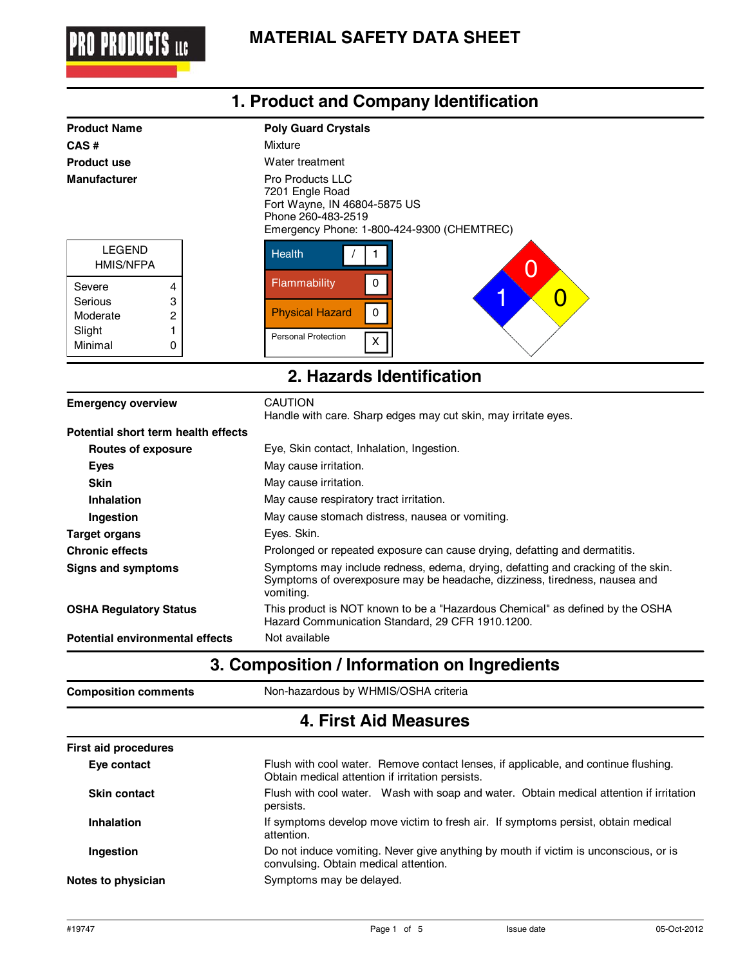

|                                                                                                             | 1. Product and Company Identification                                                                                                                                                                      |
|-------------------------------------------------------------------------------------------------------------|------------------------------------------------------------------------------------------------------------------------------------------------------------------------------------------------------------|
| <b>Product Name</b><br>CAS#<br><b>Product use</b><br><b>Manufacturer</b>                                    | <b>Poly Guard Crystals</b><br>Mixture<br>Water treatment<br><b>Pro Products LLC</b><br>7201 Engle Road<br>Fort Wayne, IN 46804-5875 US<br>Phone 260-483-2519<br>Emergency Phone: 1-800-424-9300 (CHEMTREC) |
| <b>LEGEND</b><br><b>HMIS/NFPA</b><br>Severe<br>4<br>Serious<br>3<br>Moderate<br>2<br>Slight<br>Minimal<br>0 | <b>Health</b><br>Flammability<br>0<br>1<br>O<br><b>Physical Hazard</b><br>0<br><b>Personal Protection</b><br>x                                                                                             |
|                                                                                                             | 2. Hazards Identification                                                                                                                                                                                  |
| <b>Emergency overview</b>                                                                                   | <b>CAUTION</b><br>Handle with care. Sharp edges may cut skin, may irritate eyes.                                                                                                                           |

| Potential short term health effects |                                                                                                                                                                             |
|-------------------------------------|-----------------------------------------------------------------------------------------------------------------------------------------------------------------------------|
| Routes of exposure                  | Eye, Skin contact, Inhalation, Ingestion.                                                                                                                                   |
| <b>Eyes</b>                         | May cause irritation.                                                                                                                                                       |
| <b>Skin</b>                         | May cause irritation.                                                                                                                                                       |
| Inhalation                          | May cause respiratory tract irritation.                                                                                                                                     |
| Ingestion                           | May cause stomach distress, nausea or vomiting.                                                                                                                             |
| <b>Target organs</b>                | Eyes. Skin.                                                                                                                                                                 |
| <b>Chronic effects</b>              | Prolonged or repeated exposure can cause drying, defatting and dermatitis.                                                                                                  |
| Signs and symptoms                  | Symptoms may include redness, edema, drying, defatting and cracking of the skin.<br>Symptoms of overexposure may be headache, dizziness, tiredness, nausea and<br>vomiting. |
| <b>OSHA Regulatory Status</b>       | This product is NOT known to be a "Hazardous Chemical" as defined by the OSHA<br>Hazard Communication Standard, 29 CFR 1910.1200.                                           |
| Potential environmental effects     | Not available                                                                                                                                                               |

### **3. Composition / Information on Ingredients**

**Composition comments** 

**Composition comments** Non-hazardous by WHMIS/OSHA criteria

### **4. First Aid Measures**

| <b>First aid procedures</b> |                                                                                                                                         |  |  |
|-----------------------------|-----------------------------------------------------------------------------------------------------------------------------------------|--|--|
| Eye contact                 | Flush with cool water. Remove contact lenses, if applicable, and continue flushing.<br>Obtain medical attention if irritation persists. |  |  |
| <b>Skin contact</b>         | Flush with cool water. Wash with soap and water. Obtain medical attention if irritation<br>persists.                                    |  |  |
| <b>Inhalation</b>           | If symptoms develop move victim to fresh air. If symptoms persist, obtain medical<br>attention.                                         |  |  |
| Ingestion                   | Do not induce vomiting. Never give anything by mouth if victim is unconscious, or is<br>convulsing. Obtain medical attention.           |  |  |
| Notes to physician          | Symptoms may be delayed.                                                                                                                |  |  |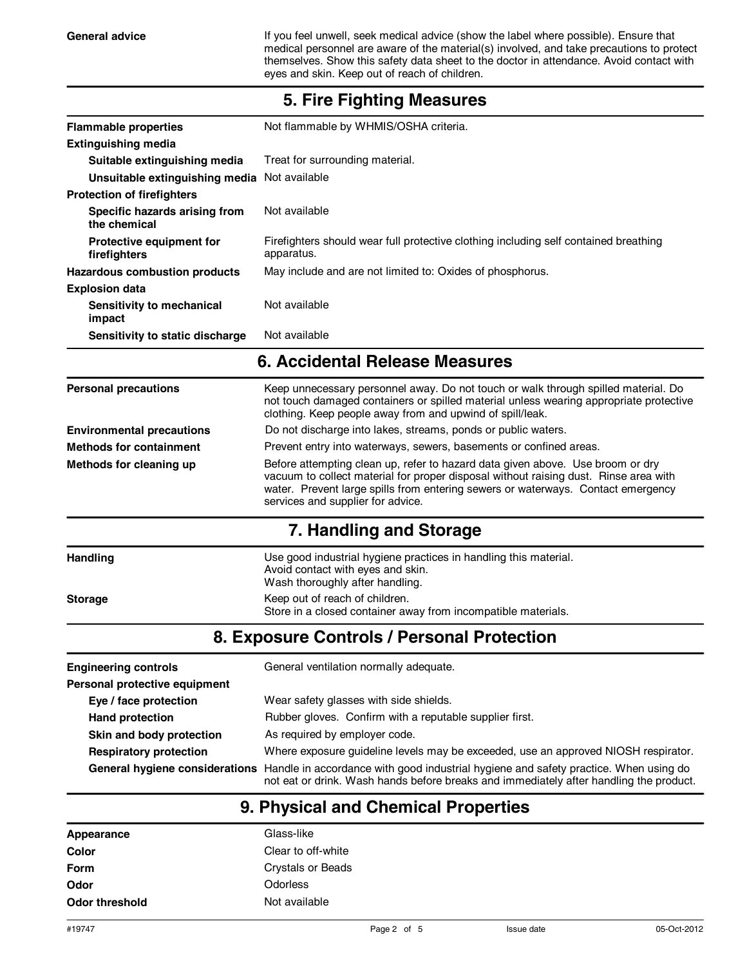General advice **If you feel unwell, seek medical advice (show the label where possible). Ensure that** medical personnel are aware of the material(s) involved, and take precautions to protect themselves. Show this safety data sheet to the doctor in attendance. Avoid contact with eyes and skin. Keep out of reach of children.

| <b>Flammable properties</b>                               | Not flammable by WHMIS/OSHA criteria.                                                                                                                                                                                                                                                           |  |  |  |
|-----------------------------------------------------------|-------------------------------------------------------------------------------------------------------------------------------------------------------------------------------------------------------------------------------------------------------------------------------------------------|--|--|--|
| <b>Extinguishing media</b>                                |                                                                                                                                                                                                                                                                                                 |  |  |  |
| Suitable extinguishing media                              | Treat for surrounding material.                                                                                                                                                                                                                                                                 |  |  |  |
| Unsuitable extinguishing media Not available              |                                                                                                                                                                                                                                                                                                 |  |  |  |
| <b>Protection of firefighters</b>                         |                                                                                                                                                                                                                                                                                                 |  |  |  |
| Specific hazards arising from<br>the chemical             | Not available                                                                                                                                                                                                                                                                                   |  |  |  |
| <b>Protective equipment for</b><br>firefighters           | Firefighters should wear full protective clothing including self contained breathing<br>apparatus.                                                                                                                                                                                              |  |  |  |
| Hazardous combustion products                             | May include and are not limited to: Oxides of phosphorus.                                                                                                                                                                                                                                       |  |  |  |
| <b>Explosion data</b>                                     |                                                                                                                                                                                                                                                                                                 |  |  |  |
| Sensitivity to mechanical<br>impact                       | Not available                                                                                                                                                                                                                                                                                   |  |  |  |
| Sensitivity to static discharge                           | Not available                                                                                                                                                                                                                                                                                   |  |  |  |
|                                                           | 6. Accidental Release Measures                                                                                                                                                                                                                                                                  |  |  |  |
| <b>Personal precautions</b>                               | Keep unnecessary personnel away. Do not touch or walk through spilled material. Do<br>not touch damaged containers or spilled material unless wearing appropriate protective<br>clothing. Keep people away from and upwind of spill/leak.                                                       |  |  |  |
| <b>Environmental precautions</b>                          | Do not discharge into lakes, streams, ponds or public waters.                                                                                                                                                                                                                                   |  |  |  |
| <b>Methods for containment</b>                            | Prevent entry into waterways, sewers, basements or confined areas.                                                                                                                                                                                                                              |  |  |  |
| Methods for cleaning up                                   | Before attempting clean up, refer to hazard data given above. Use broom or dry<br>vacuum to collect material for proper disposal without raising dust. Rinse area with<br>water. Prevent large spills from entering sewers or waterways. Contact emergency<br>services and supplier for advice. |  |  |  |
|                                                           | 7. Handling and Storage                                                                                                                                                                                                                                                                         |  |  |  |
| <b>Handling</b>                                           | Use good industrial hygiene practices in handling this material.<br>Avoid contact with eyes and skin.<br>Wash thoroughly after handling.                                                                                                                                                        |  |  |  |
| <b>Storage</b>                                            | Keep out of reach of children.<br>Store in a closed container away from incompatible materials.                                                                                                                                                                                                 |  |  |  |
|                                                           | 8. Exposure Controls / Personal Protection                                                                                                                                                                                                                                                      |  |  |  |
| <b>Engineering controls</b>                               | General ventilation normally adequate.                                                                                                                                                                                                                                                          |  |  |  |
| Personal protective equipment                             |                                                                                                                                                                                                                                                                                                 |  |  |  |
| Eye / face protection                                     | Wear safety glasses with side shields.                                                                                                                                                                                                                                                          |  |  |  |
| <b>Hand protection</b>                                    | Rubber gloves. Confirm with a reputable supplier first.                                                                                                                                                                                                                                         |  |  |  |
| As required by employer code.<br>Skin and body protection |                                                                                                                                                                                                                                                                                                 |  |  |  |

#### **5. Fire Fighting Measures**

**Respiratory protection** Where exposure guideline levels may be exceeded, use an approved NIOSH respirator.

**General hygiene considerations** Handle in accordance with good industrial hygiene and safety practice. When using do not eat or drink. Wash hands before breaks and immediately after handling the product.

### **9. Physical and Chemical Properties**

| Appearance     | Glass-like               |
|----------------|--------------------------|
| Color          | Clear to off-white       |
| Form           | <b>Crystals or Beads</b> |
| Odor           | Odorless                 |
| Odor threshold | Not available            |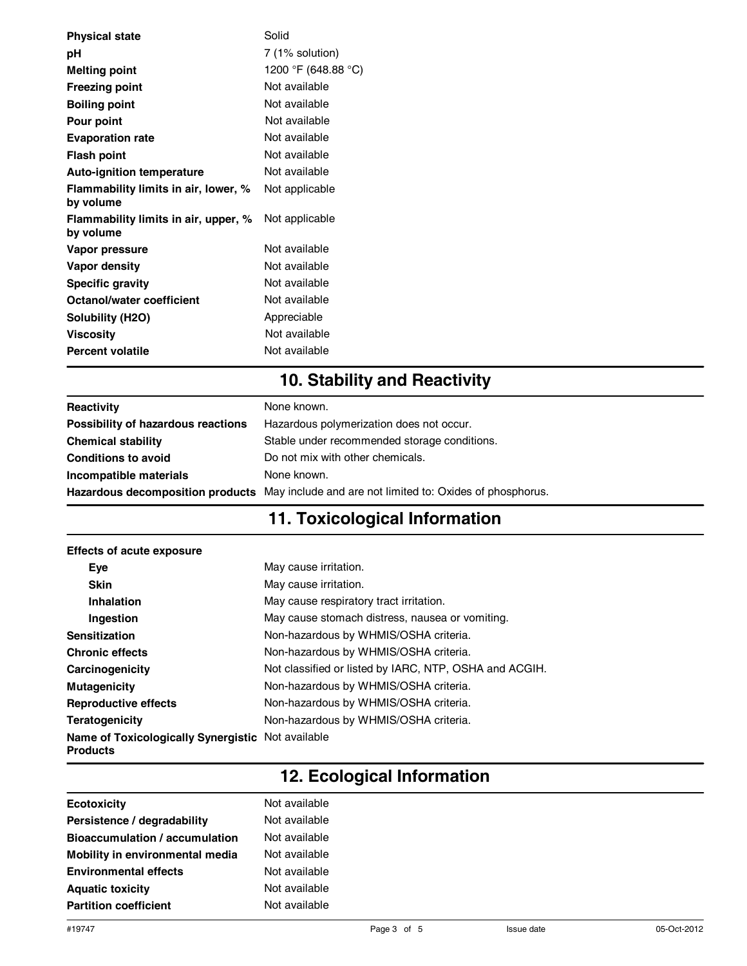| <b>Physical state</b>                             | Solid               |
|---------------------------------------------------|---------------------|
| рH                                                | 7 (1% solution)     |
| <b>Melting point</b>                              | 1200 °F (648.88 °C) |
| <b>Freezing point</b>                             | Not available       |
| <b>Boiling point</b>                              | Not available       |
| <b>Pour point</b>                                 | Not available       |
| <b>Evaporation rate</b>                           | Not available       |
| Flash point                                       | Not available       |
| <b>Auto-ignition temperature</b>                  | Not available       |
| Flammability limits in air, lower, %<br>by volume | Not applicable      |
| Flammability limits in air, upper, %<br>by volume | Not applicable      |
| Vapor pressure                                    | Not available       |
| Vapor density                                     | Not available       |
| <b>Specific gravity</b>                           | Not available       |
| Octanol/water coefficient                         | Not available       |
| Solubility (H2O)                                  | Appreciable         |
| Viscosity                                         | Not available       |
| <b>Percent volatile</b>                           | Not available       |
|                                                   |                     |

# **10. Stability and Reactivity**

| Reactivity                         | None known.                                                                                |
|------------------------------------|--------------------------------------------------------------------------------------------|
| Possibility of hazardous reactions | Hazardous polymerization does not occur.                                                   |
| <b>Chemical stability</b>          | Stable under recommended storage conditions.                                               |
| <b>Conditions to avoid</b>         | Do not mix with other chemicals.                                                           |
| Incompatible materials             | None known.                                                                                |
|                                    | Hazardous decomposition products May include and are not limited to: Oxides of phosphorus. |

# **11. Toxicological Information**

| <b>Effects of acute exposure</b>                                     |                                                        |
|----------------------------------------------------------------------|--------------------------------------------------------|
| Eye                                                                  | May cause irritation.                                  |
| <b>Skin</b>                                                          | May cause irritation.                                  |
| Inhalation                                                           | May cause respiratory tract irritation.                |
| Ingestion                                                            | May cause stomach distress, nausea or vomiting.        |
| <b>Sensitization</b>                                                 | Non-hazardous by WHMIS/OSHA criteria.                  |
| <b>Chronic effects</b>                                               | Non-hazardous by WHMIS/OSHA criteria.                  |
| Carcinogenicity                                                      | Not classified or listed by IARC, NTP, OSHA and ACGIH. |
| <b>Mutagenicity</b>                                                  | Non-hazardous by WHMIS/OSHA criteria.                  |
| <b>Reproductive effects</b>                                          | Non-hazardous by WHMIS/OSHA criteria.                  |
| Teratogenicity                                                       | Non-hazardous by WHMIS/OSHA criteria.                  |
| Name of Toxicologically Synergistic Not available<br><b>Products</b> |                                                        |

# **12. Ecological Information**

| Ecotoxicity                     | Not available |
|---------------------------------|---------------|
| Persistence / degradability     | Not available |
| Bioaccumulation / accumulation  | Not available |
| Mobility in environmental media | Not available |
| <b>Environmental effects</b>    | Not available |
| <b>Aquatic toxicity</b>         | Not available |
| <b>Partition coefficient</b>    | Not available |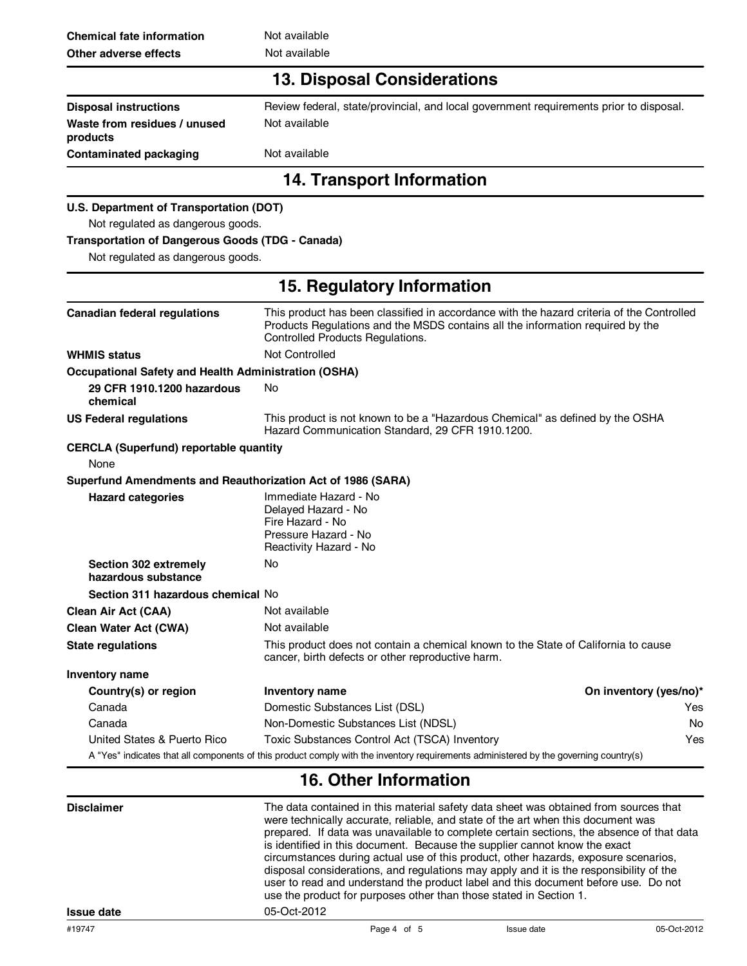| <b>Chemical fate information</b>                            | Not available                                                                                                                                                                                                   |                        |  |
|-------------------------------------------------------------|-----------------------------------------------------------------------------------------------------------------------------------------------------------------------------------------------------------------|------------------------|--|
| Not available<br>Other adverse effects                      |                                                                                                                                                                                                                 |                        |  |
|                                                             | <b>13. Disposal Considerations</b>                                                                                                                                                                              |                        |  |
| <b>Disposal instructions</b>                                | Review federal, state/provincial, and local government requirements prior to disposal.                                                                                                                          |                        |  |
| Waste from residues / unused<br>products                    | Not available                                                                                                                                                                                                   |                        |  |
| <b>Contaminated packaging</b>                               | Not available                                                                                                                                                                                                   |                        |  |
|                                                             | 14. Transport Information                                                                                                                                                                                       |                        |  |
| U.S. Department of Transportation (DOT)                     |                                                                                                                                                                                                                 |                        |  |
| Not regulated as dangerous goods.                           |                                                                                                                                                                                                                 |                        |  |
| <b>Transportation of Dangerous Goods (TDG - Canada)</b>     |                                                                                                                                                                                                                 |                        |  |
| Not regulated as dangerous goods.                           |                                                                                                                                                                                                                 |                        |  |
|                                                             | 15. Regulatory Information                                                                                                                                                                                      |                        |  |
| <b>Canadian federal regulations</b>                         | This product has been classified in accordance with the hazard criteria of the Controlled<br>Products Regulations and the MSDS contains all the information required by the<br>Controlled Products Regulations. |                        |  |
| <b>WHMIS status</b>                                         | <b>Not Controlled</b>                                                                                                                                                                                           |                        |  |
| <b>Occupational Safety and Health Administration (OSHA)</b> |                                                                                                                                                                                                                 |                        |  |
| 29 CFR 1910.1200 hazardous                                  | No                                                                                                                                                                                                              |                        |  |
| chemical                                                    |                                                                                                                                                                                                                 |                        |  |
| <b>US Federal regulations</b>                               | This product is not known to be a "Hazardous Chemical" as defined by the OSHA<br>Hazard Communication Standard, 29 CFR 1910.1200.                                                                               |                        |  |
| <b>CERCLA (Superfund) reportable quantity</b>               |                                                                                                                                                                                                                 |                        |  |
| None                                                        |                                                                                                                                                                                                                 |                        |  |
| Superfund Amendments and Reauthorization Act of 1986 (SARA) |                                                                                                                                                                                                                 |                        |  |
| <b>Hazard categories</b>                                    | Immediate Hazard - No<br>Delayed Hazard - No<br>Fire Hazard - No<br>Pressure Hazard - No<br>Reactivity Hazard - No                                                                                              |                        |  |
| Section 302 extremely<br>hazardous substance                | No                                                                                                                                                                                                              |                        |  |
| Section 311 hazardous chemical No                           |                                                                                                                                                                                                                 |                        |  |
| <b>Clean Air Act (CAA)</b>                                  | Not available                                                                                                                                                                                                   |                        |  |
| <b>Clean Water Act (CWA)</b>                                | Not available                                                                                                                                                                                                   |                        |  |
| <b>State regulations</b>                                    | This product does not contain a chemical known to the State of California to cause<br>cancer, birth defects or other reproductive harm.                                                                         |                        |  |
| Inventory name                                              |                                                                                                                                                                                                                 |                        |  |
| Country(s) or region                                        | Inventory name                                                                                                                                                                                                  | On inventory (yes/no)* |  |
| Canada                                                      | Domestic Substances List (DSL)                                                                                                                                                                                  | Yes                    |  |
| Canada                                                      | Non-Domestic Substances List (NDSL)                                                                                                                                                                             | No.                    |  |
| United States & Puerto Rico                                 | Toxic Substances Control Act (TSCA) Inventory                                                                                                                                                                   | Yes                    |  |
|                                                             | A "Yes" indicates that all components of this product comply with the inventory requirements administered by the governing country(s)                                                                           |                        |  |

#### **16. Other Information**

| <b>Disclaimer</b> | The data contained in this material safety data sheet was obtained from sources that<br>were technically accurate, reliable, and state of the art when this document was<br>prepared. If data was unavailable to complete certain sections, the absence of that data<br>is identified in this document. Because the supplier cannot know the exact<br>circumstances during actual use of this product, other hazards, exposure scenarios,<br>disposal considerations, and regulations may apply and it is the responsibility of the<br>user to read and understand the product label and this document before use. Do not<br>use the product for purposes other than those stated in Section 1. |             |            |             |
|-------------------|-------------------------------------------------------------------------------------------------------------------------------------------------------------------------------------------------------------------------------------------------------------------------------------------------------------------------------------------------------------------------------------------------------------------------------------------------------------------------------------------------------------------------------------------------------------------------------------------------------------------------------------------------------------------------------------------------|-------------|------------|-------------|
| <b>Issue date</b> | 05-Oct-2012                                                                                                                                                                                                                                                                                                                                                                                                                                                                                                                                                                                                                                                                                     |             |            |             |
| #19747            |                                                                                                                                                                                                                                                                                                                                                                                                                                                                                                                                                                                                                                                                                                 | Page 4 of 5 | Issue date | 05-Oct-2012 |